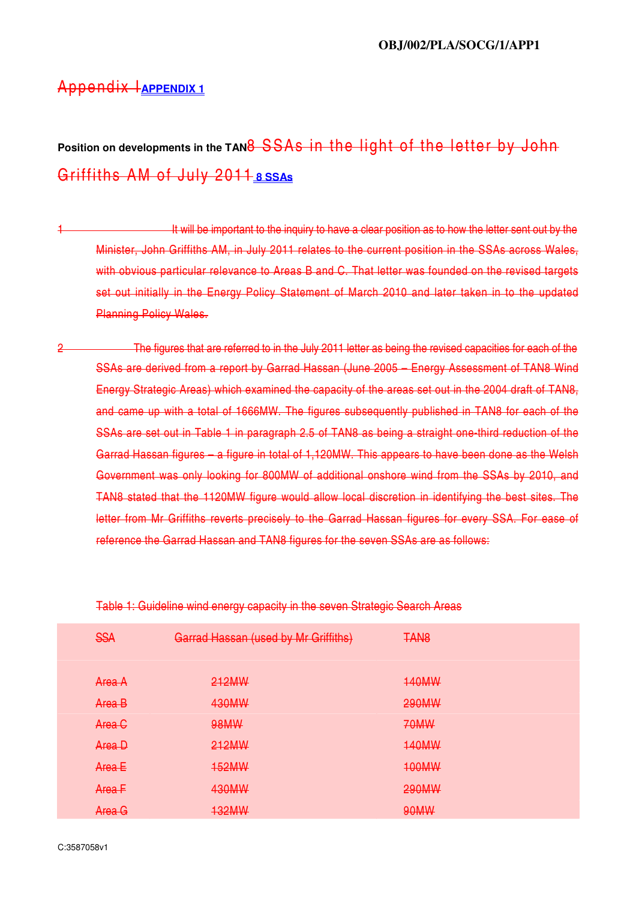## Appendix I **APPENDIX 1**

# Position on developments in the TAN<del>8 SSAs in the light of the letter by John</del> Griffiths AM of July 2011 **8 SSAs**

- 1 **1 It will be important to the inquiry to have a clear position as to how the letter sent out by the** Minister, John Griffiths AM, in July 2011 relates to the current position in the SSAs across Wales, with obvious particular relevance to Areas B and C. That letter was founded on the revised targets set out initially in the Energy Policy Statement of March 2010 and later taken in to the updated Planning Policy Wales.
- 2 The figures that are referred to in the July 2011 letter as being the revised capacities for each of the SSAs are derived from a report by Garrad Hassan (June 2005 – Energy Assessment of TAN8 Wind Energy Strategic Areas) which examined the capacity of the areas set out in the 2004 draft of TAN8, and came up with a total of 1666MW. The figures subsequently published in TAN8 for each of the SSAs are set out in Table 1 in paragraph 2.5 of TAN8 as being a straight one-third reduction of the Garrad Hassan figures – a figure in total of 1,120MW. This appears to have been done as the Welsh Government was only looking for 800MW of additional onshore wind from the SSAs by 2010, and TAN8 stated that the 1120MW figure would allow local discretion in identifying the best sites. The letter from Mr Griffiths reverts precisely to the Garrad Hassan figures for every SSA. For ease of reference the Garrad Hassan and TAN8 figures for the seven SSAs are as follows:

| <b>SSA</b>        | Garrad Hassan (used by Mr Griffiths) | <b>TAN8</b>  |
|-------------------|--------------------------------------|--------------|
| Area A            | 212MW                                | <b>140MW</b> |
| Area B            | 430MW                                | <b>290MW</b> |
| Area <sub>C</sub> | 98MW                                 | <b>70MW</b>  |
| Area D            | 212MW                                | <b>140MW</b> |
| Area E            | <b>152MW</b>                         | <b>100MW</b> |
| Area F            | 430MW                                | <b>290MW</b> |
| Area G            | <b>132MW</b>                         | 90MW         |

Table 1: Guideline wind energy capacity in the seven Strategic Search Areas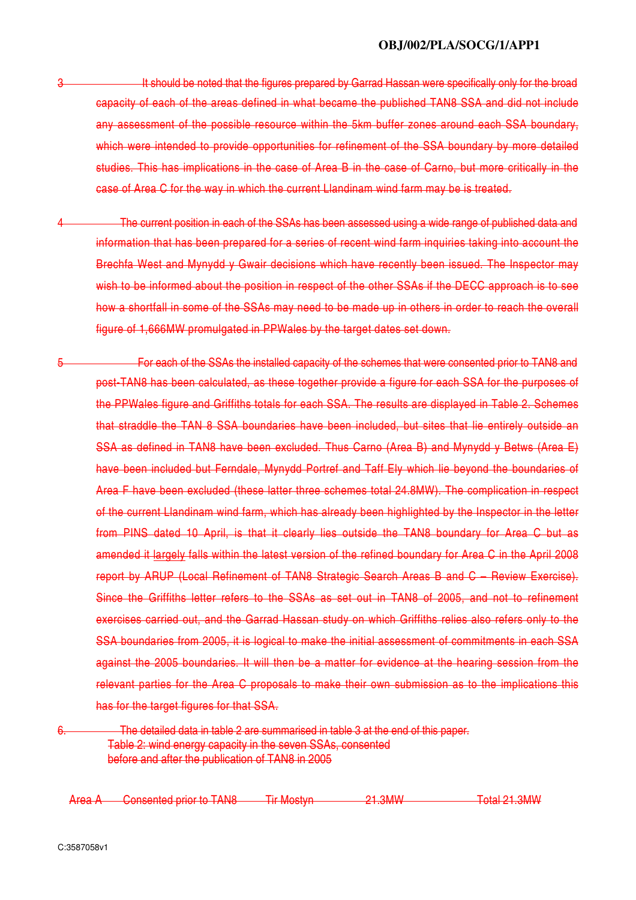- It should be noted that the figures prepared by Garrad Hassan were specifically only for the broad capacity of each of the areas defined in what became the published TAN8 SSA and did not include any assessment of the possible resource within the 5km buffer zones around each SSA boundary, which were intended to provide opportunities for refinement of the SSA boundary by more detailed studies. This has implications in the case of Area B in the case of Carno, but more critically in the case of Area C for the way in which the current Llandinam wind farm may be is treated.
- The current position in each of the SSAs has been assessed using a wide range of published data and information that has been prepared for a series of recent wind farm inquiries taking into account the Brechfa West and Mynydd y Gwair decisions which have recently been issued. The Inspector may wish to be informed about the position in respect of the other SSAs if the DECC approach is to see how a shortfall in some of the SSAs may need to be made up in others in order to reach the overall figure of 1,666MW promulgated in PPWales by the target dates set down.
- 5 For each of the SSAs the installed capacity of the schemes that were consented prior to TAN8 and post-TAN8 has been calculated, as these together provide a figure for each SSA for the purposes of the PPWales figure and Griffiths totals for each SSA. The results are displayed in Table 2. Schemes that straddle the TAN 8 SSA boundaries have been included, but sites that lie entirely outside an SSA as defined in TAN8 have been excluded. Thus Carno (Area B) and Mynydd y Betws (Area E) have been included but Ferndale, Mynydd Portref and Taff Ely which lie beyond the boundaries of Area F have been excluded (these latter three schemes total 24.8MW). The complication in respect of the current Llandinam wind farm, which has already been highlighted by the Inspector in the letter from PINS dated 10 April, is that it clearly lies outside the TAN8 boundary for Area C but as amended it largely falls within the latest version of the refined boundary for Area C in the April 2008 report by ARUP (Local Refinement of TAN8 Strategic Search Areas B and C – Review Exercise). Since the Griffiths letter refers to the SSAs as set out in TAN8 of 2005, and not to refinement exercises carried out, and the Garrad Hassan study on which Griffiths relies also refers only to the SSA boundaries from 2005, it is logical to make the initial assessment of commitments in each SSA against the 2005 boundaries. It will then be a matter for evidence at the hearing session from the relevant parties for the Area C proposals to make their own submission as to the implications this has for the target figures for that SSA.
- The detailed data in table 2 are summarised in table 3 at the end of this paper. Table 2: wind energy capacity in the seven SSAs, consented before and after the publication of TAN8 in 2005

Area A Consented prior to TAN8 Tir Mostyn 21.3MW Total 21.3MW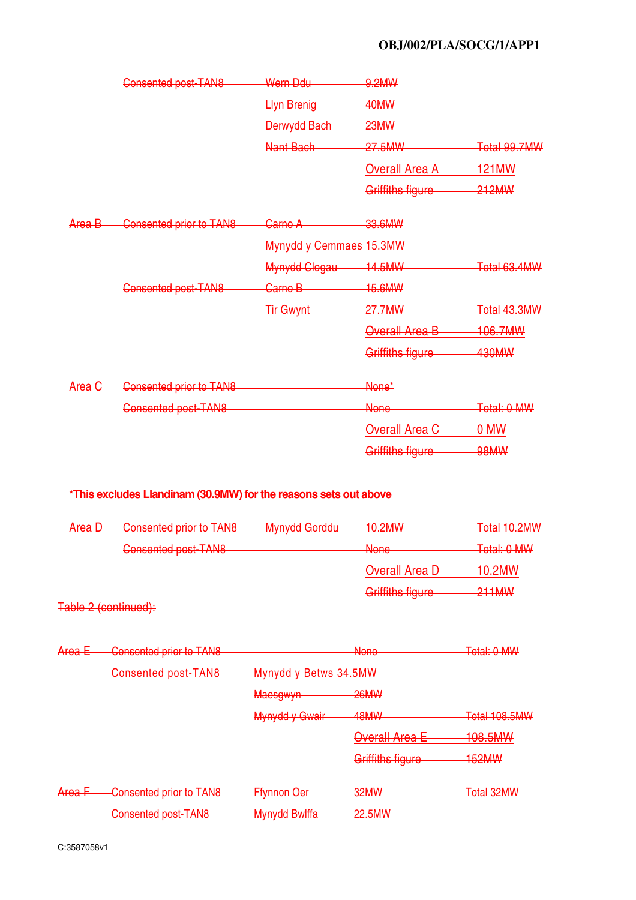### **OBJ/002/PLA/SOCG/1/APP1**

|        | Consented post-TAN8                                                                                       | Wern Ddu                | 9.2MW                  |               |
|--------|-----------------------------------------------------------------------------------------------------------|-------------------------|------------------------|---------------|
|        |                                                                                                           | <b>Llyn Brenig</b>      | 40MW                   |               |
|        |                                                                                                           | Derwydd Bach 23MW       |                        |               |
|        |                                                                                                           | Nant Bach               | 27.5MW                 | Total 99.7MW  |
|        |                                                                                                           |                         | Overall Area A         | 121MW         |
|        |                                                                                                           |                         | Griffiths figure 212MW |               |
| Area B | <b>Consented prior to TAN8</b>                                                                            | Carno A                 | $-33.6$ MW             |               |
|        |                                                                                                           | Mynydd y Cemmaes 15.3MW |                        |               |
|        |                                                                                                           | Mynydd Clogau 14.5MW    |                        | Total 63.4MW  |
|        | <b>Consented post-TAN8</b>                                                                                | Carno B 15.6MW          |                        |               |
|        |                                                                                                           | Tir Gwynt               | 27.7MW                 | Total 43.3MW  |
|        |                                                                                                           |                         | Overall Area B 106.7MW |               |
|        |                                                                                                           |                         | Griffiths figure       | 430MW         |
| Area C | <b>Consented prior to TAN8</b>                                                                            |                         | None*                  |               |
|        | Consented post-TAN8                                                                                       |                         | None                   | Total: 0 MW   |
|        |                                                                                                           |                         | Overall Area C         | 0 M W         |
|        |                                                                                                           |                         | Griffiths figure       | <b>98MW</b>   |
| Area D | *This excludes Llandinam (30.9MW) for the reasons sets out above<br>Consented prior to TAN8 Mynydd Gorddu |                         | 10.2MW                 | Total 10.2MW  |
|        | <b>Consented post-TAN8</b>                                                                                |                         | None                   | Total: 0 MW   |
|        |                                                                                                           |                         |                        |               |
|        |                                                                                                           |                         | Overall Area D         | $-10.2$ MW    |
|        | Table 2 (continued):                                                                                      |                         | Griffiths figure       | 211MW         |
| Area E | Consented prior to TAN8                                                                                   |                         | <b>None</b>            | Total: 0 MW   |
|        | <b>Consented post-TAN8</b>                                                                                | Mynydd y Betws 34.5MW   |                        |               |
|        |                                                                                                           | Maesgwyn                | 26MW                   |               |
|        |                                                                                                           | Mynydd y Gwair          | 48MW                   | Total 108.5MW |
|        |                                                                                                           |                         | <b>Overall Area E</b>  | 108.5MW       |
|        |                                                                                                           |                         | Griffiths figure       | 152MW         |
| Area F | <b>Consented prior to TAN8</b>                                                                            | <b>Ffynnon Oer</b>      | 32MW                   | Total 32MW    |
|        | Consented post-TAN8                                                                                       | <b>Mynydd Bwlffa</b>    | 22.5MW                 |               |
|        |                                                                                                           |                         |                        |               |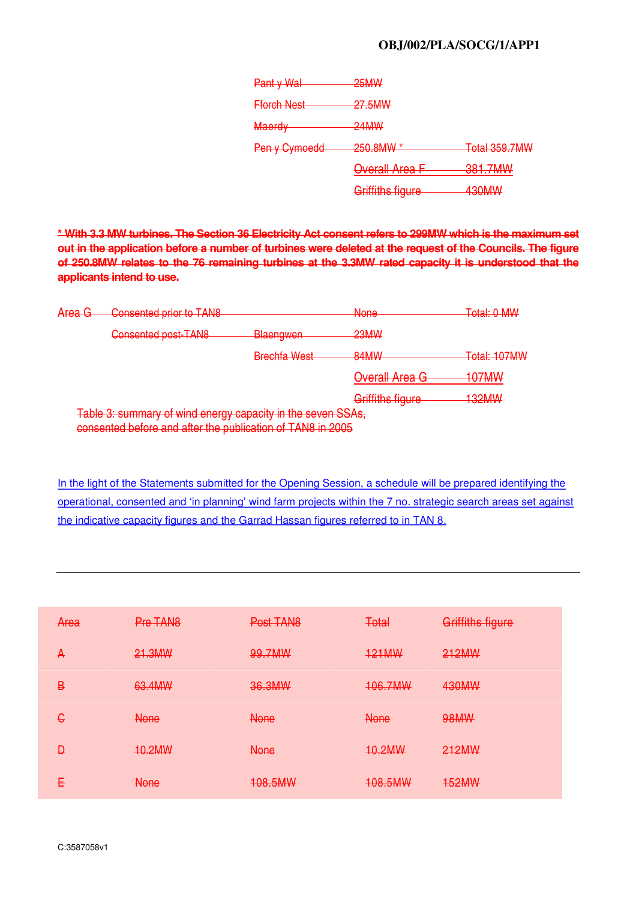#### **OBJ/002/PLA/SOCG/1/APP1**

| Pant y Wal         | 25MW                                          |                                       |
|--------------------|-----------------------------------------------|---------------------------------------|
| <b>Fforch Nest</b> | 27.5MW                                        |                                       |
| <b>Maerdy</b>      | $24$ MM $\mu$<br><del>= 117177</del>          |                                       |
| Pen y Cymoedd      | $250$ $R$ $M$ $\lambda$<br><del>zju.unn</del> | Total 359.7MW                         |
|                    | <b>Overall Area F</b>                         | <u>221 7MM</u><br><del>oo i./ww</del> |
|                    | $C$ riffithe figuro<br><del>ammus nuurc</del> | 120MM<br><del>tuulvivv</del>          |

**\* With 3.3 MW turbines. The Section 36 Electricity Act consent refers to 299MW which is the maximum set out in the application before a number of turbines were deleted at the request of the Councils. The figure of 250.8MW relates to the 76 remaining turbines at the 3.3MW rated capacity it is understood that the applicants intend to use.**

| $\Delta$ roo G<br>$n$ or $\alpha$ | Consented prior to TANR<br><del>טוווירו טווט ווסטווטט</del>                                                               |                     | <b>None</b><br>गणगण              | Total: O MM/<br><b>EVIDENT VEHICLE</b>           |
|-----------------------------------|---------------------------------------------------------------------------------------------------------------------------|---------------------|----------------------------------|--------------------------------------------------|
|                                   | Consented post-TAN8                                                                                                       | <b>Blaengwen</b>    | 23MW                             |                                                  |
|                                   |                                                                                                                           | <b>Rrachfa Wast</b> | <b>RANAN</b><br><b>Committee</b> | Total: 107MM<br><del>rolai. To<i>r</i>ivin</del> |
|                                   |                                                                                                                           |                     | Overall Area G                   | <u>107MM</u><br><del>iu imv</del>                |
|                                   |                                                                                                                           |                     | Griffiths figure                 | <b>HINOCP</b><br><b>TULIVIYY</b>                 |
|                                   | Table 3: summary of wind energy capacity in the seven SSAs,<br>consented before and after the publication of TAN8 in 2005 |                     |                                  |                                                  |

In the light of the Statements submitted for the Opening Session, a schedule will be prepared identifying the operational, consented and 'in planning' wind farm projects within the 7 no. strategic search areas set against the indicative capacity figures and the Garrad Hassan figures referred to in TAN 8.

| Area | Pre TAN <sub>8</sub> | Post TAN8   | <b>Total</b> | Griffiths figure |
|------|----------------------|-------------|--------------|------------------|
| A    | 21.3MW               | 99.7MW      | <b>121MW</b> | 212MW            |
| B    | 63.4MW               | 36.3MW      | 106.7MW      | 430MW            |
| €    | <b>None</b>          | <b>None</b> | <b>None</b>  | <b>98MW</b>      |
| Ð    | 10.2MW               | <b>None</b> | 10.2MW       | 212MW            |
| Ε    | <b>None</b>          | 108.5MW     | 108.5MW      | <b>152MW</b>     |